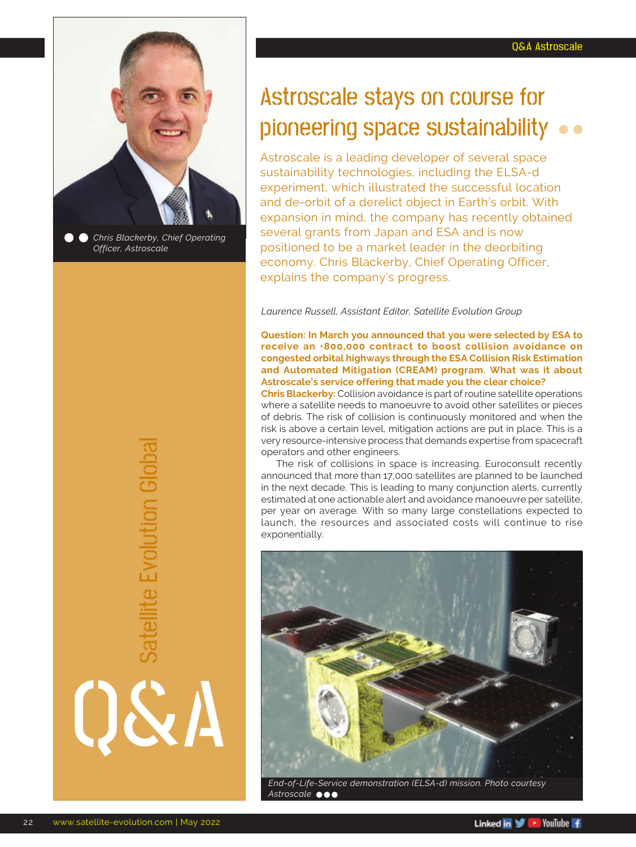

*Officer, Astroscale*

Astroscale stays on course for pioneering space sustainability

Astroscale is a leading developer of several space sustainability technologies, including the ELSA-d experiment, which illustrated the successful location and de-orbit of a derelict object in Earth's orbit. With expansion in mind, the company has recently obtained several grants from Japan and ESA and is now positioned to be a market leader in the deorbiting economy. Chris Blackerby, Chief Operating Officer, explains the company's progress.

*Laurence Russell, Assistant Editor, Satellite Evolution Group*

**Question: In March you announced that you were selected by ESA to receive an €800,000 contract to boost collision avoidance on congested orbital highways through the ESA Collision Risk Estimation and Automated Mitigation (CREAM) program. What was it about Astroscale's service offering that made you the clear choice?**

**Chris Blackerby:** Collision avoidance is part of routine satellite operations where a satellite needs to manoeuvre to avoid other satellites or pieces of debris. The risk of collision is continuously monitored and when the risk is above a certain level, mitigation actions are put in place. This is a very resource-intensive process that demands expertise from spacecraft operators and other engineers.

The risk of collisions in space is increasing. Euroconsult recently announced that more than 17,000 satellites are planned to be launched in the next decade. This is leading to many conjunction alerts, currently estimated at one actionable alert and avoidance manoeuvre per satellite, per year on average. With so many large constellations expected to launch, the resources and associated costs will continue to rise exponentially.



*Astroscale*

Q&A

Satellite Evolution Global

Satellite Evolution Globa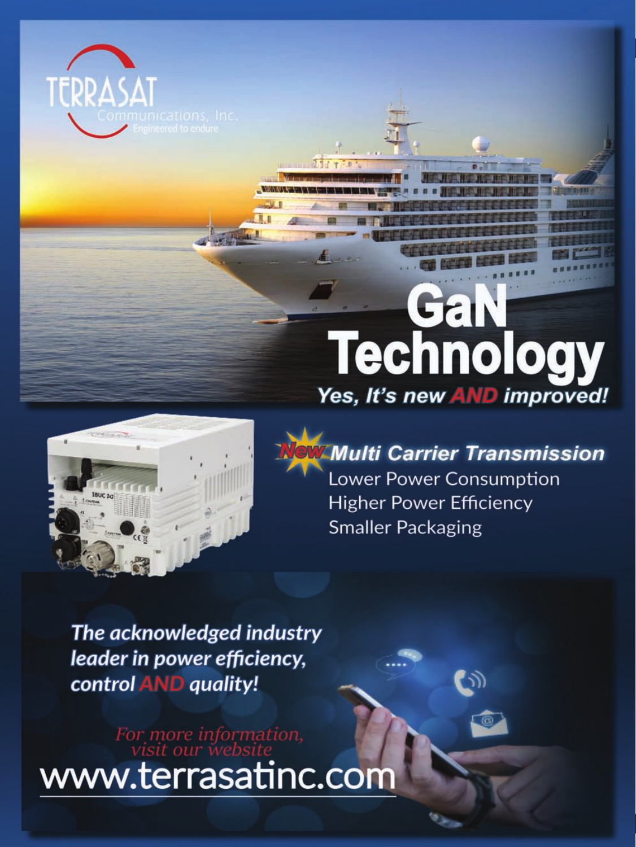

# echnolog I Yes, It's new AND improved!



Multi Carrier Transmission Lower Power Consumption **Higher Power Efficiency Smaller Packaging** 

The acknowledged industry leader in power efficiency, control **AND** quality!

For more information,<br>visit our website www.terrasatinc.com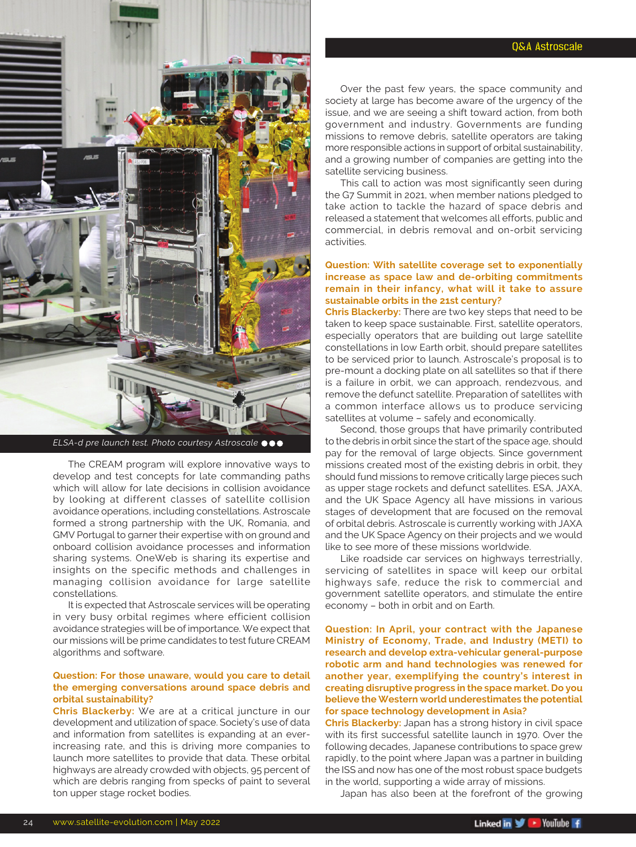



*ELSA-d pre launch test. Photo courtesy Astroscale*

The CREAM program will explore innovative ways to develop and test concepts for late commanding paths which will allow for late decisions in collision avoidance by looking at different classes of satellite collision avoidance operations, including constellations. Astroscale formed a strong partnership with the UK, Romania, and GMV Portugal to garner their expertise with on ground and onboard collision avoidance processes and information sharing systems. OneWeb is sharing its expertise and insights on the specific methods and challenges in managing collision avoidance for large satellite constellations.

It is expected that Astroscale services will be operating in very busy orbital regimes where efficient collision avoidance strategies will be of importance. We expect that our missions will be prime candidates to test future CREAM algorithms and software.

#### **Question: For those unaware, would you care to detail the emerging conversations around space debris and orbital sustainability?**

**Chris Blackerby:** We are at a critical juncture in our development and utilization of space. Society's use of data and information from satellites is expanding at an everincreasing rate, and this is driving more companies to launch more satellites to provide that data. These orbital highways are already crowded with objects, 95 percent of which are debris ranging from specks of paint to several ton upper stage rocket bodies.

Over the past few years, the space community and society at large has become aware of the urgency of the issue, and we are seeing a shift toward action, from both government and industry. Governments are funding missions to remove debris, satellite operators are taking more responsible actions in support of orbital sustainability, and a growing number of companies are getting into the satellite servicing business.

This call to action was most significantly seen during the G7 Summit in 2021, when member nations pledged to take action to tackle the hazard of space debris and released a statement that welcomes all efforts, public and commercial, in debris removal and on-orbit servicing activities.

## **Question: With satellite coverage set to exponentially increase as space law and de-orbiting commitments remain in their infancy, what will it take to assure sustainable orbits in the 21st century?**

**Chris Blackerby:** There are two key steps that need to be taken to keep space sustainable. First, satellite operators, especially operators that are building out large satellite constellations in low Earth orbit, should prepare satellites to be serviced prior to launch. Astroscale's proposal is to pre-mount a docking plate on all satellites so that if there is a failure in orbit, we can approach, rendezvous, and remove the defunct satellite. Preparation of satellites with a common interface allows us to produce servicing satellites at volume – safely and economically.

Second, those groups that have primarily contributed to the debris in orbit since the start of the space age, should pay for the removal of large objects. Since government missions created most of the existing debris in orbit, they should fund missions to remove critically large pieces such as upper stage rockets and defunct satellites. ESA, JAXA, and the UK Space Agency all have missions in various stages of development that are focused on the removal of orbital debris. Astroscale is currently working with JAXA and the UK Space Agency on their projects and we would like to see more of these missions worldwide.

Like roadside car services on highways terrestrially, servicing of satellites in space will keep our orbital highways safe, reduce the risk to commercial and government satellite operators, and stimulate the entire economy – both in orbit and on Earth.

**Question: In April, your contract with the Japanese Ministry of Economy, Trade, and Industry (METI) to research and develop extra-vehicular general-purpose robotic arm and hand technologies was renewed for another year, exemplifying the country's interest in creating disruptive progress in the space market. Do you believe the Western world underestimates the potential for space technology development in Asia?**

**Chris Blackerby:** Japan has a strong history in civil space with its first successful satellite launch in 1970. Over the following decades, Japanese contributions to space grew rapidly, to the point where Japan was a partner in building the ISS and now has one of the most robust space budgets in the world, supporting a wide array of missions.

Japan has also been at the forefront of the growing